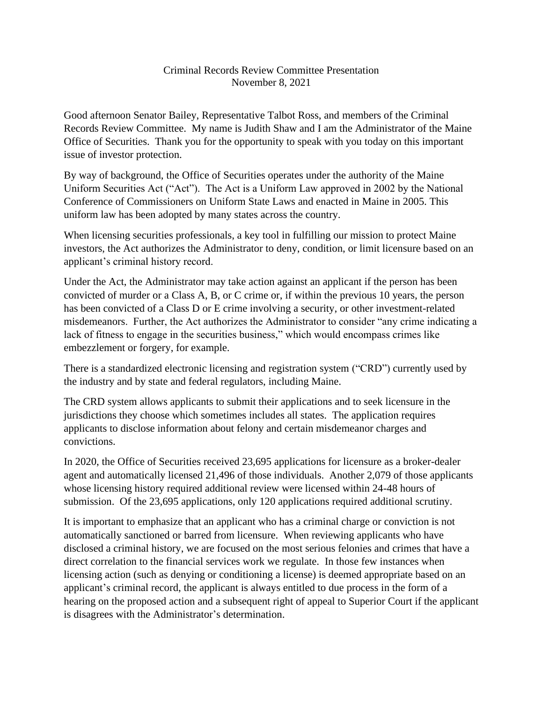## Criminal Records Review Committee Presentation November 8, 2021

Good afternoon Senator Bailey, Representative Talbot Ross, and members of the Criminal Records Review Committee. My name is Judith Shaw and I am the Administrator of the Maine Office of Securities. Thank you for the opportunity to speak with you today on this important issue of investor protection.

By way of background, the Office of Securities operates under the authority of the Maine Uniform Securities Act ("Act"). The Act is a Uniform Law approved in 2002 by the National Conference of Commissioners on Uniform State Laws and enacted in Maine in 2005. This uniform law has been adopted by many states across the country.

When licensing securities professionals, a key tool in fulfilling our mission to protect Maine investors, the Act authorizes the Administrator to deny, condition, or limit licensure based on an applicant's criminal history record.

Under the Act, the Administrator may take action against an applicant if the person has been convicted of murder or a Class A, B, or C crime or, if within the previous 10 years, the person has been convicted of a Class D or E crime involving a security, or other investment-related misdemeanors. Further, the Act authorizes the Administrator to consider "any crime indicating a lack of fitness to engage in the securities business," which would encompass crimes like embezzlement or forgery, for example.

There is a standardized electronic licensing and registration system ("CRD") currently used by the industry and by state and federal regulators, including Maine.

The CRD system allows applicants to submit their applications and to seek licensure in the jurisdictions they choose which sometimes includes all states. The application requires applicants to disclose information about felony and certain misdemeanor charges and convictions.

In 2020, the Office of Securities received 23,695 applications for licensure as a broker-dealer agent and automatically licensed 21,496 of those individuals. Another 2,079 of those applicants whose licensing history required additional review were licensed within 24-48 hours of submission. Of the 23,695 applications, only 120 applications required additional scrutiny.

It is important to emphasize that an applicant who has a criminal charge or conviction is not automatically sanctioned or barred from licensure. When reviewing applicants who have disclosed a criminal history, we are focused on the most serious felonies and crimes that have a direct correlation to the financial services work we regulate. In those few instances when licensing action (such as denying or conditioning a license) is deemed appropriate based on an applicant's criminal record, the applicant is always entitled to due process in the form of a hearing on the proposed action and a subsequent right of appeal to Superior Court if the applicant is disagrees with the Administrator's determination.